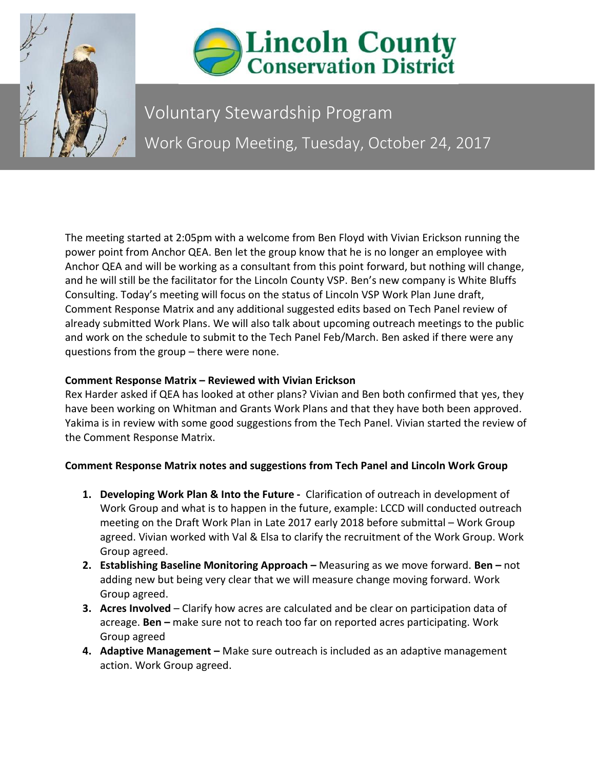



Voluntary Stewardship Program Work Group Meeting, Tuesday, October 24, 2017

The meeting started at 2:05pm with a welcome from Ben Floyd with Vivian Erickson running the power point from Anchor QEA. Ben let the group know that he is no longer an employee with Anchor QEA and will be working as a consultant from this point forward, but nothing will change, and he will still be the facilitator for the Lincoln County VSP. Ben's new company is White Bluffs Consulting. Today's meeting will focus on the status of Lincoln VSP Work Plan June draft, Comment Response Matrix and any additional suggested edits based on Tech Panel review of already submitted Work Plans. We will also talk about upcoming outreach meetings to the public and work on the schedule to submit to the Tech Panel Feb/March. Ben asked if there were any questions from the group – there were none.

## **Comment Response Matrix – Reviewed with Vivian Erickson**

Rex Harder asked if QEA has looked at other plans? Vivian and Ben both confirmed that yes, they have been working on Whitman and Grants Work Plans and that they have both been approved. Yakima is in review with some good suggestions from the Tech Panel. Vivian started the review of the Comment Response Matrix.

## **Comment Response Matrix notes and suggestions from Tech Panel and Lincoln Work Group**

- **1. Developing Work Plan & Into the Future -** Clarification of outreach in development of Work Group and what is to happen in the future, example: LCCD will conducted outreach meeting on the Draft Work Plan in Late 2017 early 2018 before submittal – Work Group agreed. Vivian worked with Val & Elsa to clarify the recruitment of the Work Group. Work Group agreed.
- **2. Establishing Baseline Monitoring Approach –** Measuring as we move forward. **Ben –** not adding new but being very clear that we will measure change moving forward. Work Group agreed.
- **3. Acres Involved**  Clarify how acres are calculated and be clear on participation data of acreage. **Ben –** make sure not to reach too far on reported acres participating. Work Group agreed
- **4. Adaptive Management –** Make sure outreach is included as an adaptive management action. Work Group agreed.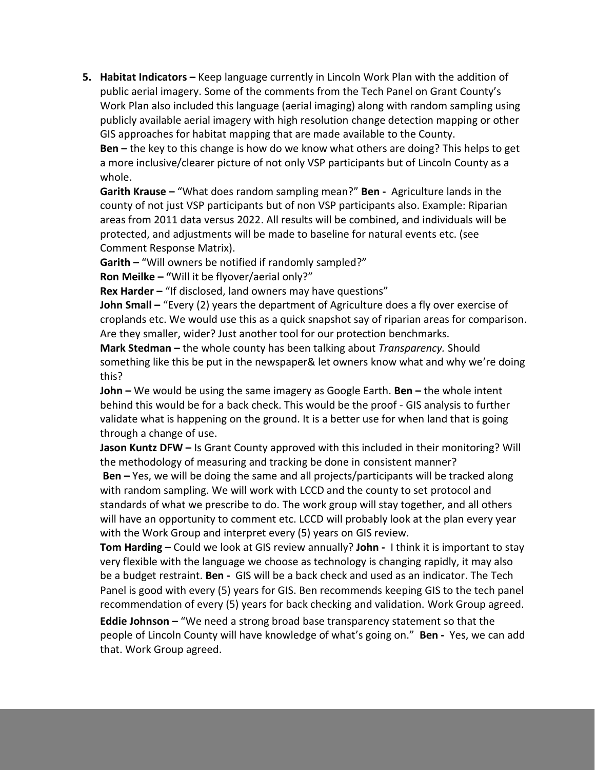**5. Habitat Indicators –** Keep language currently in Lincoln Work Plan with the addition of public aerial imagery. Some of the comments from the Tech Panel on Grant County's Work Plan also included this language (aerial imaging) along with random sampling using publicly available aerial imagery with high resolution change detection mapping or other GIS approaches for habitat mapping that are made available to the County.

**Ben –** the key to this change is how do we know what others are doing? This helps to get a more inclusive/clearer picture of not only VSP participants but of Lincoln County as a whole.

**Garith Krause –** "What does random sampling mean?" **Ben -** Agriculture lands in the county of not just VSP participants but of non VSP participants also. Example: Riparian areas from 2011 data versus 2022. All results will be combined, and individuals will be protected, and adjustments will be made to baseline for natural events etc. (see Comment Response Matrix).

**Garith –** "Will owners be notified if randomly sampled?"

**Ron Meilke – "**Will it be flyover/aerial only?"

**Rex Harder - "If disclosed, land owners may have questions"** 

**John Small –** "Every (2) years the department of Agriculture does a fly over exercise of croplands etc. We would use this as a quick snapshot say of riparian areas for comparison. Are they smaller, wider? Just another tool for our protection benchmarks.

**Mark Stedman –** the whole county has been talking about *Transparency.* Should something like this be put in the newspaper& let owners know what and why we're doing this?

**John –** We would be using the same imagery as Google Earth. **Ben –** the whole intent behind this would be for a back check. This would be the proof - GIS analysis to further validate what is happening on the ground. It is a better use for when land that is going through a change of use.

**Jason Kuntz DFW –** Is Grant County approved with this included in their monitoring? Will the methodology of measuring and tracking be done in consistent manner?

**Ben –** Yes, we will be doing the same and all projects/participants will be tracked along with random sampling. We will work with LCCD and the county to set protocol and standards of what we prescribe to do. The work group will stay together, and all others will have an opportunity to comment etc. LCCD will probably look at the plan every year with the Work Group and interpret every (5) years on GIS review.

**Tom Harding –** Could we look at GIS review annually? **John -** I think it is important to stay very flexible with the language we choose as technology is changing rapidly, it may also be a budget restraint. **Ben -** GIS will be a back check and used as an indicator. The Tech Panel is good with every (5) years for GIS. Ben recommends keeping GIS to the tech panel recommendation of every (5) years for back checking and validation. Work Group agreed.

**Eddie Johnson –** "We need a strong broad base transparency statement so that the people of Lincoln County will have knowledge of what's going on." **Ben -** Yes, we can add that. Work Group agreed.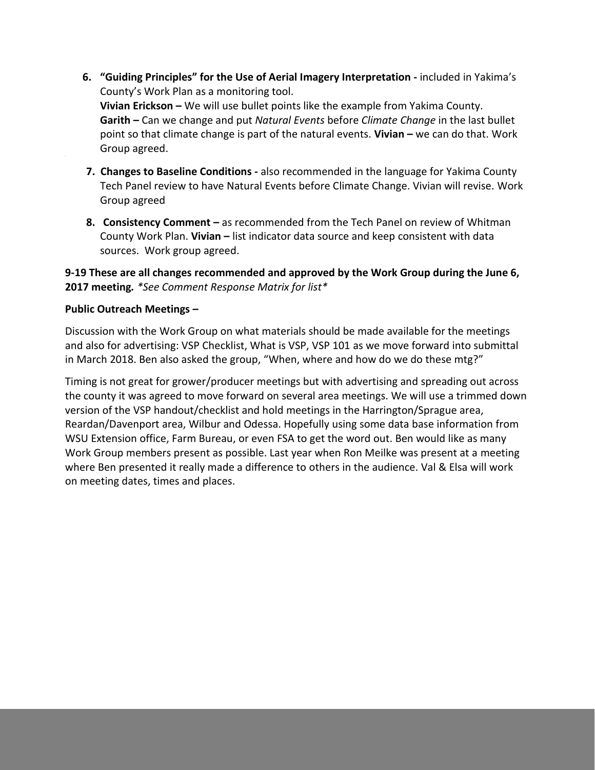- **6. "Guiding Principles" for the Use of Aerial Imagery Interpretation -** included in Yakima's County's Work Plan as a monitoring tool. **Vivian Erickson –** We will use bullet points like the example from Yakima County. **Garith –** Can we change and put *Natural Events* before *Climate Change* in the last bullet point so that climate change is part of the natural events. **Vivian –** we can do that. Work Group agreed.
- **7. Changes to Baseline Conditions -** also recommended in the language for Yakima County Tech Panel review to have Natural Events before Climate Change. Vivian will revise. Work Group agreed
- **8. Consistency Comment –** as recommended from the Tech Panel on review of Whitman County Work Plan. **Vivian –** list indicator data source and keep consistent with data sources. Work group agreed.

**9-19 These are all changes recommended and approved by the Work Group during the June 6, 2017 meeting***. \*See Comment Response Matrix for list\**

## **Public Outreach Meetings –**

Discussion with the Work Group on what materials should be made available for the meetings and also for advertising: VSP Checklist, What is VSP, VSP 101 as we move forward into submittal in March 2018. Ben also asked the group, "When, where and how do we do these mtg?"

Timing is not great for grower/producer meetings but with advertising and spreading out across the county it was agreed to move forward on several area meetings. We will use a trimmed down version of the VSP handout/checklist and hold meetings in the Harrington/Sprague area, Reardan/Davenport area, Wilbur and Odessa. Hopefully using some data base information from WSU Extension office, Farm Bureau, or even FSA to get the word out. Ben would like as many Work Group members present as possible. Last year when Ron Meilke was present at a meeting where Ben presented it really made a difference to others in the audience. Val & Elsa will work on meeting dates, times and places.